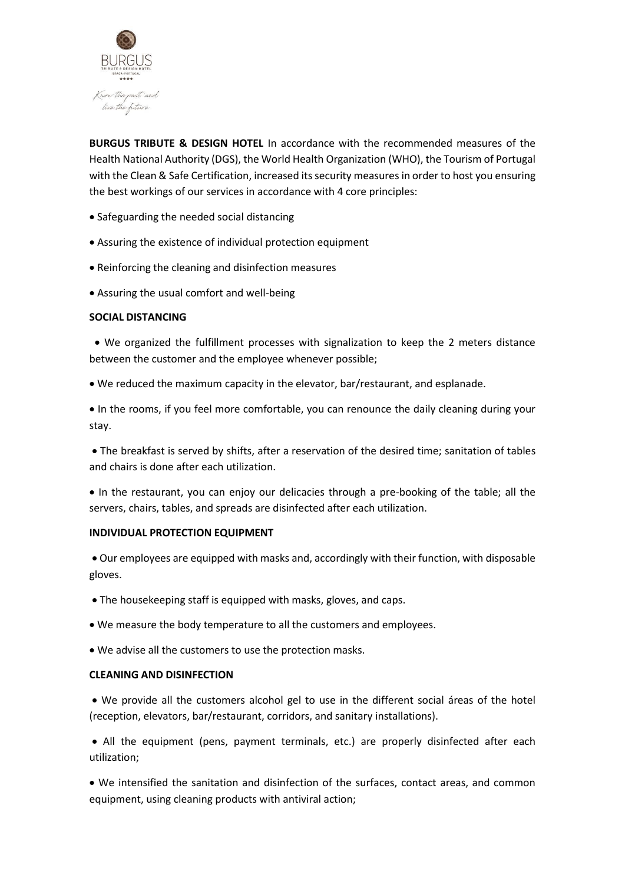

**BURGUS TRIBUTE & DESIGN HOTEL** In accordance with the recommended measures of the Health National Authority (DGS), the World Health Organization (WHO), the Tourism of Portugal with the Clean & Safe Certification, increased its security measures in order to host you ensuring the best workings of our services in accordance with 4 core principles:

- Safeguarding the needed social distancing
- Assuring the existence of individual protection equipment
- Reinforcing the cleaning and disinfection measures
- Assuring the usual comfort and well-being

# **SOCIAL DISTANCING**

 • We organized the fulfillment processes with signalization to keep the 2 meters distance between the customer and the employee whenever possible;

• We reduced the maximum capacity in the elevator, bar/restaurant, and esplanade.

• In the rooms, if you feel more comfortable, you can renounce the daily cleaning during your stay.

• The breakfast is served by shifts, after a reservation of the desired time; sanitation of tables and chairs is done after each utilization.

• In the restaurant, you can enjoy our delicacies through a pre-booking of the table; all the servers, chairs, tables, and spreads are disinfected after each utilization.

# **INDIVIDUAL PROTECTION EQUIPMENT**

• Our employees are equipped with masks and, accordingly with their function, with disposable gloves.

- The housekeeping staff is equipped with masks, gloves, and caps.
- We measure the body temperature to all the customers and employees.
- We advise all the customers to use the protection masks.

# **CLEANING AND DISINFECTION**

• We provide all the customers alcohol gel to use in the different social áreas of the hotel (reception, elevators, bar/restaurant, corridors, and sanitary installations).

• All the equipment (pens, payment terminals, etc.) are properly disinfected after each utilization;

• We intensified the sanitation and disinfection of the surfaces, contact areas, and common equipment, using cleaning products with antiviral action;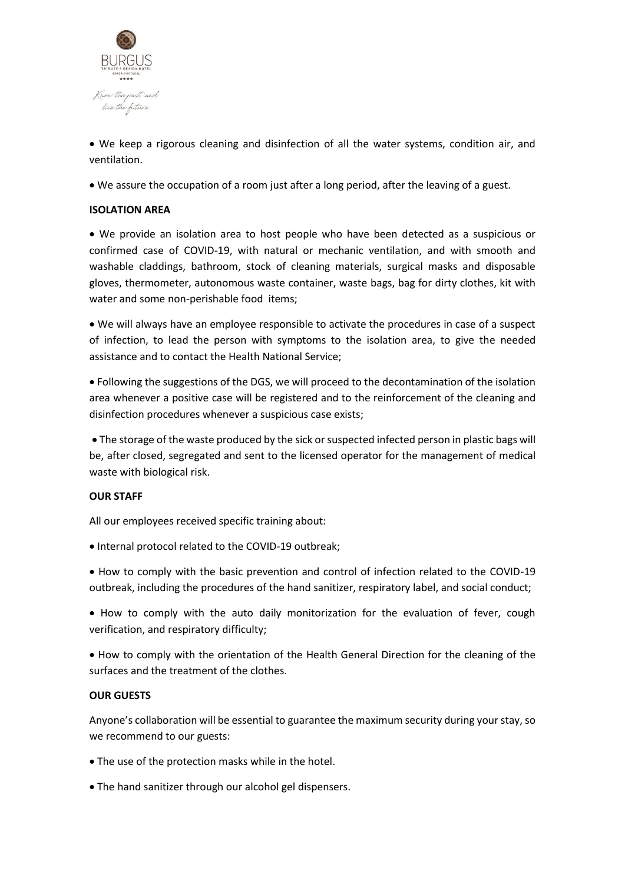

• We keep a rigorous cleaning and disinfection of all the water systems, condition air, and ventilation.

• We assure the occupation of a room just after a long period, after the leaving of a guest.

# **ISOLATION AREA**

• We provide an isolation area to host people who have been detected as a suspicious or confirmed case of COVID-19, with natural or mechanic ventilation, and with smooth and washable claddings, bathroom, stock of cleaning materials, surgical masks and disposable gloves, thermometer, autonomous waste container, waste bags, bag for dirty clothes, kit with water and some non-perishable food items;

• We will always have an employee responsible to activate the procedures in case of a suspect of infection, to lead the person with symptoms to the isolation area, to give the needed assistance and to contact the Health National Service;

• Following the suggestions of the DGS, we will proceed to the decontamination of the isolation area whenever a positive case will be registered and to the reinforcement of the cleaning and disinfection procedures whenever a suspicious case exists;

• The storage of the waste produced by the sick or suspected infected person in plastic bags will be, after closed, segregated and sent to the licensed operator for the management of medical waste with biological risk.

# **OUR STAFF**

All our employees received specific training about:

- Internal protocol related to the COVID-19 outbreak;
- How to comply with the basic prevention and control of infection related to the COVID-19 outbreak, including the procedures of the hand sanitizer, respiratory label, and social conduct;

• How to comply with the auto daily monitorization for the evaluation of fever, cough verification, and respiratory difficulty;

• How to comply with the orientation of the Health General Direction for the cleaning of the surfaces and the treatment of the clothes.

# **OUR GUESTS**

Anyone's collaboration will be essential to guarantee the maximum security during your stay, so we recommend to our guests:

- The use of the protection masks while in the hotel.
- The hand sanitizer through our alcohol gel dispensers.